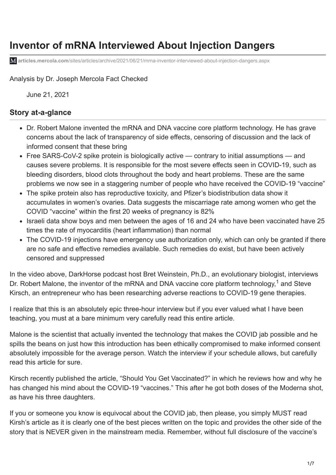# **Inventor of mRNA Interviewed About Injection Dangers**

**articles.mercola.com**[/sites/articles/archive/2021/06/21/mrna-inventor-interviewed-about-injection-dangers.aspx](https://articles.mercola.com/sites/articles/archive/2021/06/21/mrna-inventor-interviewed-about-injection-dangers.aspx)

Analysis by [Dr. Joseph Mercola](https://www.mercola.com/forms/background.htm) [Fact Checked](javascript:void(0))

June 21, 2021

#### **Story at-a-glance**

- Dr. Robert Malone invented the mRNA and DNA vaccine core platform technology. He has grave concerns about the lack of transparency of side effects, censoring of discussion and the lack of informed consent that these bring
- Free SARS-CoV-2 spike protein is biologically active contrary to initial assumptions and causes severe problems. It is responsible for the most severe effects seen in COVID-19, such as bleeding disorders, blood clots throughout the body and heart problems. These are the same problems we now see in a staggering number of people who have received the COVID-19 "vaccine"
- The spike protein also has reproductive toxicity, and Pfizer's biodistribution data show it accumulates in women's ovaries. Data suggests the miscarriage rate among women who get the COVID "vaccine" within the first 20 weeks of pregnancy is 82%
- Israeli data show boys and men between the ages of 16 and 24 who have been vaccinated have 25 times the rate of myocarditis (heart inflammation) than normal
- The COVID-19 injections have emergency use authorization only, which can only be granted if there are no safe and effective remedies available. Such remedies do exist, but have been actively censored and suppressed

In the video above, DarkHorse podcast host Bret Weinstein, Ph.D., an evolutionary biologist, interviews Dr. Robert Malone, the inventor of the mRNA and DNA vaccine core platform technology,<sup>1</sup> and Steve Kirsch, an entrepreneur who has been researching adverse reactions to COVID-19 gene therapies.

I realize that this is an absolutely epic three-hour interview but if you ever valued what I have been teaching, you must at a bare minimum very carefully read this entire article.

Malone is the scientist that actually invented the technology that makes the COVID jab possible and he spills the beans on just how this introduction has been ethically compromised to make informed consent absolutely impossible for the average person. Watch the interview if your schedule allows, but carefully read this article for sure.

Kirsch recently published the article, "Should You Get Vaccinated?" in which he reviews how and why he has changed his mind about the COVID-19 "vaccines." This after he got both doses of the Moderna shot, as have his three daughters.

If you or someone you know is equivocal about the COVID jab, then please, you simply MUST read Kirsh's article as it is clearly one of the best pieces written on the topic and provides the other side of the story that is NEVER given in the mainstream media. Remember, without full disclosure of the vaccine's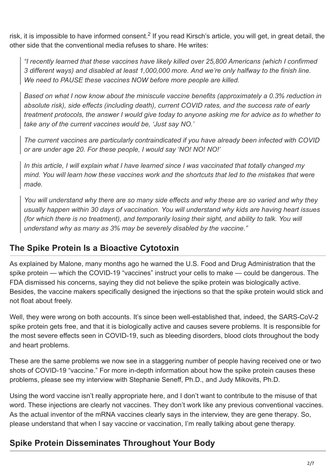risk, it is impossible to have informed consent.<sup>2</sup> If you read Kirsch's article, you will get, in great detail, the other side that the conventional media refuses to share. He writes:

*"I recently learned that these vaccines have likely killed over 25,800 Americans (which I confirmed 3 different ways) and disabled at least 1,000,000 more. And we're only halfway to the finish line. We need to PAUSE these vaccines NOW before more people are killed.*

*Based on what I now know about the miniscule vaccine benefits (approximately a 0.3% reduction in absolute risk), side effects (including death), current COVID rates, and the success rate of early treatment protocols, the answer I would give today to anyone asking me for advice as to whether to take any of the current vaccines would be, 'Just say NO.'*

*The current vaccines are particularly contraindicated if you have already been infected with COVID or are under age 20. For these people, I would say 'NO! NO! NO!'*

*In this article, I will explain what I have learned since I was vaccinated that totally changed my mind. You will learn how these vaccines work and the shortcuts that led to the mistakes that were made.*

*You will understand why there are so many side effects and why these are so varied and why they usually happen within 30 days of vaccination. You will understand why kids are having heart issues (for which there is no treatment), and temporarily losing their sight, and ability to talk. You will understand why as many as 3% may be severely disabled by the vaccine."*

### **The Spike Protein Is a Bioactive Cytotoxin**

As explained by Malone, many months ago he warned the U.S. Food and Drug Administration that the spike protein — which the COVID-19 "vaccines" instruct your cells to make — could be dangerous. The FDA dismissed his concerns, saying they did not believe the spike protein was biologically active. Besides, the vaccine makers specifically designed the injections so that the spike protein would stick and not float about freely.

[Well, they were wrong on both accounts. It's since been well-established that, indeed, the SARS-CoV-2](https://articles.mercola.com/sites/articles/archive/2021/05/25/spike-protein-coronavirus.aspx) spike protein gets free, and that it is biologically active and causes severe problems. It is responsible for the most severe effects seen in COVID-19, such as bleeding disorders, blood clots throughout the body and heart problems.

These are the same problems we now see in a staggering number of people having received one or two shots of COVID-19 "vaccine." For more in-depth information about how the spike protein causes these problems, please see my [interview with Stephanie Seneff, Ph.D., and Judy Mikovits, Ph.D](https://articles.mercola.com/sites/articles/archive/2021/06/13/covid-19-vaccines-causing-damage.aspx).

Using the word vaccine isn't really appropriate here, and I don't want to contribute to the misuse of that word. These injections are clearly not vaccines. They don't work like any previous conventional vaccines. As the actual inventor of the mRNA vaccines clearly says in the interview, [they are gene therapy.](https://articles.mercola.com/sites/articles/archive/2021/03/16/mrna-vaccine-gene-therapy.aspx) So, please understand that when I say vaccine or vaccination, I'm really talking about gene therapy.

## **Spike Protein Disseminates Throughout Your Body**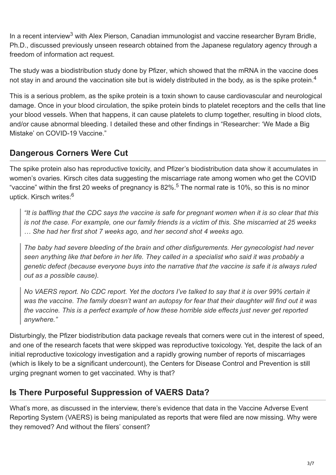In a recent interview<sup>3</sup> with Alex Pierson, Canadian immunologist and vaccine researcher Byram Bridle, Ph.D., discussed previously unseen research obtained from the Japanese regulatory agency through a freedom of information act request.

The study was a biodistribution study done by [Pfizer,](https://articles.mercola.com/sites/articles/archive/2021/01/29/pfizer-admits-vaccine-does-not-prevent-covid.aspx) which showed that the mRNA in the vaccine does not stay in and around the vaccination site but is widely distributed in the body, as is the spike protein.<sup>4</sup>

This is a serious problem, as the spike protein is a toxin shown to cause cardiovascular and neurological damage. Once in your blood circulation, the spike protein binds to platelet receptors and the cells that line your blood vessels. When that happens, it can cause platelets to clump together, resulting in blood clots, [and/or cause abnormal bleeding. I detailed these and other findings in "Researcher: 'We Made a Big](https://articles.mercola.com/sites/articles/archive/2021/06/14/covid-19-vaccine-mistake.aspx) Mistake' on COVID-19 Vaccine."

### **Dangerous Corners Were Cut**

The spike protein also has reproductive toxicity, and Pfizer's biodistribution data show it accumulates in women's ovaries. Kirsch cites data suggesting the miscarriage rate among women who get the COVID "vaccine" within the first 20 weeks of pregnancy is 82%.<sup>5</sup> The normal rate is 10%, so this is no minor uptick. Kirsch writes:<sup>6</sup>

*"It is baffling that the CDC says the vaccine is safe for pregnant women when it is so clear that this is not the case. For example, one our family friends is a victim of this. She miscarried at 25 weeks … She had her first shot 7 weeks ago, and her second shot 4 weeks ago.*

*The baby had severe bleeding of the brain and other disfigurements. Her gynecologist had never seen anything like that before in her life. They called in a specialist who said it was probably a genetic defect (because everyone buys into the narrative that the vaccine is safe it is always ruled out as a possible cause).*

*No VAERS report. No CDC report. Yet the doctors I've talked to say that it is over 99% certain it was the vaccine. The family doesn't want an autopsy for fear that their daughter will find out it was the vaccine. This is a perfect example of how these horrible side effects just never get reported anywhere."*

Disturbingly, the Pfizer biodistribution data package reveals that corners were cut in the interest of speed, and one of the research facets that were skipped was reproductive toxicology. Yet, despite the lack of an initial reproductive toxicology investigation and a rapidly growing number of reports of miscarriages (which is likely to be a significant undercount), the Centers for Disease Control and Prevention is still urging pregnant women to get vaccinated. Why is that?

### **Is There Purposeful Suppression of VAERS Data?**

What's more, as discussed in the interview, there's evidence that data in the Vaccine Adverse Event Reporting System (VAERS) is being manipulated as reports that were filed are now missing. Why were they removed? And without the filers' consent?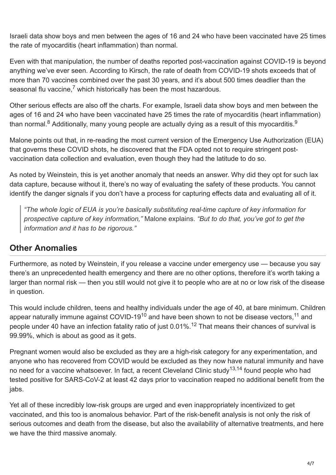Israeli data show boys and men between the ages of 16 and 24 who have been vaccinated have 25 times the rate of myocarditis (heart inflammation) than normal.

Even with that manipulation, the number of deaths reported post-vaccination against COVID-19 is beyond anything we've ever seen. According to Kirsch, the rate of death from COVID-19 shots exceeds that of more than 70 vaccines combined over the past 30 years, and it's about 500 times deadlier than the seasonal flu vaccine,<sup>7</sup> which historically has been the most hazardous.

Other serious effects are also off the charts. For example, Israeli data show boys and men between the ages of 16 and 24 who have been vaccinated have 25 times the rate of myocarditis (heart inflammation) than normal.<sup>8</sup> Additionally, many young people are actually dying as a result of this myocarditis.<sup>9</sup>

Malone points out that, in re-reading the most current version of the Emergency Use Authorization (EUA) that governs these COVID shots, he discovered that the FDA opted not to require stringent postvaccination data collection and evaluation, even though they had the latitude to do so.

As noted by Weinstein, this is yet another anomaly that needs an answer. Why did they opt for such lax data capture, because without it, there's no way of evaluating the safety of these products. You cannot identify the danger signals if you don't have a process for capturing effects data and evaluating all of it.

*"The whole logic of EUA is you're basically substituting real-time capture of key information for prospective capture of key information,"* Malone explains. *"But to do that, you've got to get the information and it has to be rigorous."*

### **Other Anomalies**

Furthermore, as noted by Weinstein, if you release a vaccine under emergency use — because you say there's an unprecedented health emergency and there are no other options, therefore it's worth taking a larger than normal risk — then you still would not give it to people who are at no or low risk of the disease in question.

This would include children, teens and healthy individuals under the age of 40, at bare minimum. Children appear naturally immune against COVID-19<sup>10</sup> and have been shown to not be disease vectors, <sup>11</sup> and people under 40 have an infection fatality ratio of just 0.01%.<sup>12</sup> That means their chances of survival is 99.99%, which is about as good as it gets.

Pregnant women would also be excluded as they are a high-risk category for any experimentation, and anyone who has recovered from COVID would be excluded as they now have natural immunity and have no need for a vaccine whatsoever. In fact, a recent Cleveland Clinic study<sup>13,14</sup> found people who had tested positive for SARS-CoV-2 at least 42 days prior to vaccination reaped no additional benefit from the jabs.

Yet all of these incredibly low-risk groups are urged and even inappropriately incentivized to get vaccinated, and this too is anomalous behavior. Part of the risk-benefit analysis is not only the risk of serious outcomes and death from the disease, but also the availability of alternative treatments, and here we have the third massive anomaly.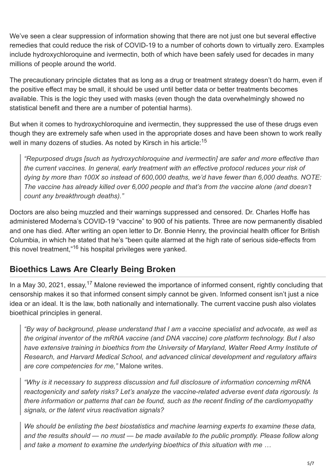We've seen a clear suppression of information showing that there are not just one but several effective remedies that could reduce the risk of COVID-19 to a number of cohorts down to virtually zero. Examples include [hydroxychloroquine](https://articles.mercola.com/sites/articles/archive/2020/07/15/hydroxychloroquine-for-coronavirus.aspx) and [ivermectin,](https://articles.mercola.com/sites/articles/archive/2021/05/21/ivermectin-for-covid-19.aspx) both of which have been safely used for decades in many millions of people around the world.

The precautionary principle dictates that as long as a drug or treatment strategy doesn't do harm, even if the positive effect may be small, it should be used until better data or better treatments becomes available. This is the logic they used with masks (even though the data overwhelmingly showed no statistical benefit and there are a number of potential harms).

But when it comes to hydroxychloroquine and ivermectin, they suppressed the use of these drugs even though they are extremely safe when used in the appropriate doses and have been shown to work really well in many dozens of studies. As noted by Kirsch in his article:<sup>15</sup>

*"Repurposed drugs [such as hydroxychloroquine and ivermectin] are safer and more effective than the current vaccines. In general, early treatment with an effective protocol reduces your risk of dying by more than 100X so instead of 600,000 deaths, we'd have fewer than 6,000 deaths. NOTE: The vaccine has already killed over 6,000 people and that's from the vaccine alone (and doesn't count any breakthrough deaths)."*

Doctors are also being muzzled and their warnings suppressed and censored. Dr. Charles Hoffe has administered Moderna's COVID-19 "vaccine" to 900 of his patients. Three are now permanently disabled and one has died. After writing an open letter to Dr. Bonnie Henry, the provincial health officer for British Columbia, in which he stated that he's "been quite alarmed at the high rate of serious side-effects from this novel treatment,"<sup>16</sup> his hospital privileges were yanked.

### **Bioethics Laws Are Clearly Being Broken**

In a May 30, 2021, essay,<sup>17</sup> Malone reviewed the importance of informed consent, rightly concluding that censorship makes it so that informed consent simply cannot be given. Informed consent isn't just a nice idea or an ideal. It is the law, both nationally and internationally. The current vaccine push also violates bioethical principles in general.

*"By way of background, please understand that I am a vaccine specialist and advocate, as well as the original inventor of the mRNA vaccine (and DNA vaccine) core platform technology. But I also have extensive training in bioethics from the University of Maryland, Walter Reed Army Institute of Research, and Harvard Medical School, and advanced clinical development and regulatory affairs are core competencies for me,"* Malone writes.

*"Why is it necessary to suppress discussion and full disclosure of information concerning mRNA reactogenicity and safety risks? Let's analyze the vaccine-related adverse event data rigorously. Is there information or patterns that can be found, such as the recent finding of the cardiomyopathy signals, or the latent virus reactivation signals?*

*We should be enlisting the best biostatistics and machine learning experts to examine these data, and the results should — no must — be made available to the public promptly. Please follow along and take a moment to examine the underlying bioethics of this situation with me …*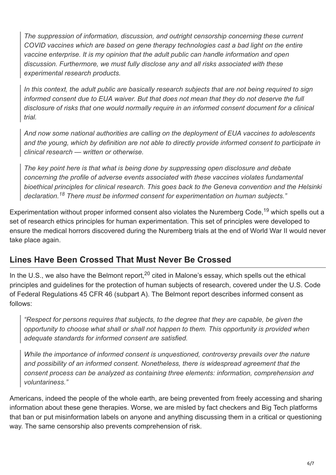*The suppression of information, discussion, and outright censorship concerning these current COVID vaccines which are based on gene therapy technologies cast a bad light on the entire vaccine enterprise. It is my opinion that the adult public can handle information and open discussion. Furthermore, we must fully disclose any and all risks associated with these experimental research products.*

*In this context, the adult public are basically research subjects that are not being required to sign informed consent due to EUA waiver. But that does not mean that they do not deserve the full disclosure of risks that one would normally require in an informed consent document for a clinical trial.*

*And now some national authorities are calling on the deployment of EUA vaccines to adolescents and the young, which by definition are not able to directly provide informed consent to participate in clinical research — written or otherwise.*

*The key point here is that what is being done by suppressing open disclosure and debate concerning the profile of adverse events associated with these vaccines violates fundamental bioethical principles for clinical research. This goes back to the Geneva convention and the Helsinki declaration. There must be informed consent for experimentation on human subjects." 18*

Experimentation without proper informed consent also violates the Nuremberg Code,<sup>19</sup> which spells out a set of research ethics principles for human experimentation. This set of principles were developed to ensure the medical horrors discovered during the Nuremberg trials at the end of World War II would never take place again.

### **Lines Have Been Crossed That Must Never Be Crossed**

In the U.S., we also have the Belmont report,<sup>20</sup> cited in Malone's essay, which spells out the ethical principles and guidelines for the protection of human subjects of research, covered under the U.S. Code of Federal Regulations 45 CFR 46 (subpart A). The Belmont report describes informed consent as follows:

*"Respect for persons requires that subjects, to the degree that they are capable, be given the opportunity to choose what shall or shall not happen to them. This opportunity is provided when adequate standards for informed consent are satisfied.*

*While the importance of informed consent is unquestioned, controversy prevails over the nature and possibility of an informed consent. Nonetheless, there is widespread agreement that the consent process can be analyzed as containing three elements: information, comprehension and voluntariness."*

Americans, indeed the people of the whole earth, are being prevented from freely accessing and sharing information about these gene therapies. Worse, we are misled by fact checkers and Big Tech platforms that ban or put misinformation labels on anyone and anything discussing them in a critical or questioning way. The same censorship also prevents comprehension of risk.